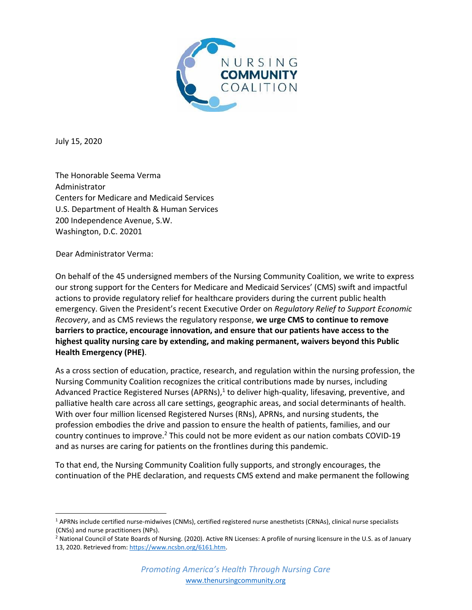

July 15, 2020

The Honorable Seema Verma Administrator Centers for Medicare and Medicaid Services U.S. Department of Health & Human Services 200 Independence Avenue, S.W. Washington, D.C. 20201

Dear Administrator Verma:

On behalf of the 45 undersigned members of the Nursing Community Coalition, we write to express our strong support for the Centers for Medicare and Medicaid Services' (CMS) swift and impactful actions to provide regulatory relief for healthcare providers during the current public health emergency. Given the President's recent Executive Order on *Regulatory Relief to Support Economic Recovery*, and as CMS reviews the regulatory response, **we urge CMS to continue to remove barriers to practice, encourage innovation, and ensure that our patients have access to the highest quality nursing care by extending, and making permanent, waivers beyond this Public Health Emergency (PHE)**.

As a cross section of education, practice, research, and regulation within the nursing profession, the Nursing Community Coalition recognizes the critical contributions made by nurses, including Advanced Practice Registered Nurses (APRNs),<sup>1</sup> to deliver high-quality, lifesaving, preventive, and palliative health care across all care settings, geographic areas, and social determinants of health. With over four million licensed Registered Nurses (RNs), APRNs, and nursing students, the profession embodies the drive and passion to ensure the health of patients, families, and our country continues to improve.<sup>2</sup> This could not be more evident as our nation combats COVID-19 and as nurses are caring for patients on the frontlines during this pandemic.

To that end, the Nursing Community Coalition fully supports, and strongly encourages, the continuation of the PHE declaration, and requests CMS extend and make permanent the following

<sup>1</sup> APRNs include certified nurse-midwives (CNMs), certified registered nurse anesthetists (CRNAs), clinical nurse specialists (CNSs) and nurse practitioners (NPs).

<sup>&</sup>lt;sup>2</sup> National Council of State Boards of Nursing. (2020). Active RN Licenses: A profile of nursing licensure in the U.S. as of January 13, 2020. Retrieved from: https://www.ncsbn.org/6161.htm.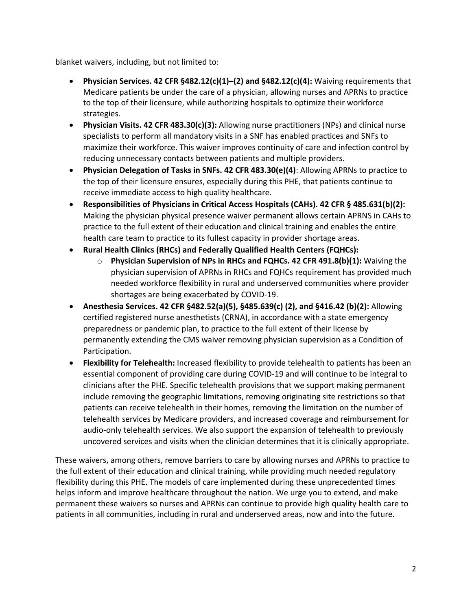blanket waivers, including, but not limited to:

- **Physician Services. 42 CFR §482.12(c)(1)–(2) and §482.12(c)(4):** Waiving requirements that Medicare patients be under the care of a physician, allowing nurses and APRNs to practice to the top of their licensure, while authorizing hospitals to optimize their workforce strategies.
- **Physician Visits. 42 CFR 483.30(c)(3):** Allowing nurse practitioners (NPs) and clinical nurse specialists to perform all mandatory visits in a SNF has enabled practices and SNFs to maximize their workforce. This waiver improves continuity of care and infection control by reducing unnecessary contacts between patients and multiple providers.
- **Physician Delegation of Tasks in SNFs. 42 CFR 483.30(e)(4)**: Allowing APRNs to practice to the top of their licensure ensures, especially during this PHE, that patients continue to receive immediate access to high quality healthcare.
- **Responsibilities of Physicians in Critical Access Hospitals (CAHs). 42 CFR § 485.631(b)(2):** Making the physician physical presence waiver permanent allows certain APRNS in CAHs to practice to the full extent of their education and clinical training and enables the entire health care team to practice to its fullest capacity in provider shortage areas.
- **Rural Health Clinics (RHCs) and Federally Qualified Health Centers (FQHCs):**
	- o **Physician Supervision of NPs in RHCs and FQHCs. 42 CFR 491.8(b)(1):** Waiving the physician supervision of APRNs in RHCs and FQHCs requirement has provided much needed workforce flexibility in rural and underserved communities where provider shortages are being exacerbated by COVID-19.
- **Anesthesia Services. 42 CFR §482.52(a)(5), §485.639(c) (2), and §416.42 (b)(2):** Allowing certified registered nurse anesthetists (CRNA), in accordance with a state emergency preparedness or pandemic plan, to practice to the full extent of their license by permanently extending the CMS waiver removing physician supervision as a Condition of Participation.
- **Flexibility for Telehealth:** Increased flexibility to provide telehealth to patients has been an essential component of providing care during COVID-19 and will continue to be integral to clinicians after the PHE. Specific telehealth provisions that we support making permanent include removing the geographic limitations, removing originating site restrictions so that patients can receive telehealth in their homes, removing the limitation on the number of telehealth services by Medicare providers, and increased coverage and reimbursement for audio-only telehealth services. We also support the expansion of telehealth to previously uncovered services and visits when the clinician determines that it is clinically appropriate.

These waivers, among others, remove barriers to care by allowing nurses and APRNs to practice to the full extent of their education and clinical training, while providing much needed regulatory flexibility during this PHE. The models of care implemented during these unprecedented times helps inform and improve healthcare throughout the nation. We urge you to extend, and make permanent these waivers so nurses and APRNs can continue to provide high quality health care to patients in all communities, including in rural and underserved areas, now and into the future.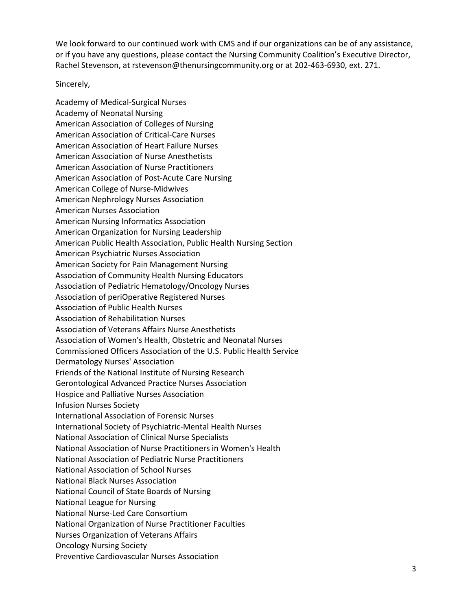We look forward to our continued work with CMS and if our organizations can be of any assistance, or if you have any questions, please contact the Nursing Community Coalition's Executive Director, Rachel Stevenson, at rstevenson@thenursingcommunity.org or at 202-463-6930, ext. 271.

## Sincerely,

Academy of Medical-Surgical Nurses Academy of Neonatal Nursing American Association of Colleges of Nursing American Association of Critical-Care Nurses American Association of Heart Failure Nurses American Association of Nurse Anesthetists American Association of Nurse Practitioners American Association of Post-Acute Care Nursing American College of Nurse-Midwives American Nephrology Nurses Association American Nurses Association American Nursing Informatics Association American Organization for Nursing Leadership American Public Health Association, Public Health Nursing Section American Psychiatric Nurses Association American Society for Pain Management Nursing Association of Community Health Nursing Educators Association of Pediatric Hematology/Oncology Nurses Association of periOperative Registered Nurses Association of Public Health Nurses Association of Rehabilitation Nurses Association of Veterans Affairs Nurse Anesthetists Association of Women's Health, Obstetric and Neonatal Nurses Commissioned Officers Association of the U.S. Public Health Service Dermatology Nurses' Association Friends of the National Institute of Nursing Research Gerontological Advanced Practice Nurses Association Hospice and Palliative Nurses Association Infusion Nurses Society International Association of Forensic Nurses International Society of Psychiatric-Mental Health Nurses National Association of Clinical Nurse Specialists National Association of Nurse Practitioners in Women's Health National Association of Pediatric Nurse Practitioners National Association of School Nurses National Black Nurses Association National Council of State Boards of Nursing National League for Nursing National Nurse-Led Care Consortium National Organization of Nurse Practitioner Faculties Nurses Organization of Veterans Affairs Oncology Nursing Society Preventive Cardiovascular Nurses Association